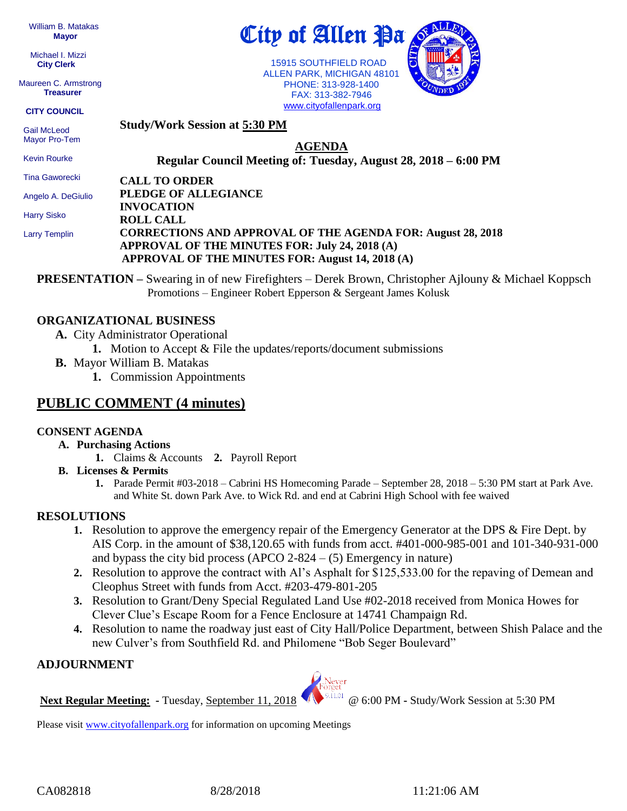William B. Matakas  **Mayor**

 Michael I. Mizzi **City Clerk**

Maureen C. Armstrong **Treasurer**

**CITY COUNCIL**

 Gail McLeod Mayor Pro-Tem

Kevin Rourke

**Study/Work Session at 5:30 PM**

**AGENDA**

**Regular Council Meeting of: Tuesday, August 28, 2018 – 6:00 PM** 

City of Allen Pa

 15915 SOUTHFIELD ROAD ALLEN PARK, MICHIGAN 48101 PHONE: 313-928-1400 FAX: 313-382-7946

Tina Gaworecki

Angelo A. DeGiulio

Harry Sisko

Larry Templin

#### **PLEDGE OF ALLEGIANCE INVOCATION ROLL CALL CORRECTIONS AND APPROVAL OF THE AGENDA FOR: August 28, 2018 APPROVAL OF THE MINUTES FOR: July 24, 2018 (A) APPROVAL OF THE MINUTES FOR: August 14, 2018 (A)**

**PRESENTATION –** Swearing in of new Firefighters – Derek Brown, Christopher Ajlouny & Michael Koppsch Promotions – Engineer Robert Epperson & Sergeant James Kolusk

# **ORGANIZATIONAL BUSINESS**

- **A.** City Administrator Operational
	- **1.** Motion to Accept & File the updates/reports/document submissions
- **B.** Mayor William B. Matakas
	- **1.** Commission Appointments

**CALL TO ORDER**

# **PUBLIC COMMENT (4 minutes)**

## **CONSENT AGENDA**

- **A. Purchasing Actions**
	- **1.** Claims & Accounts **2.** Payroll Report
- **B. Licenses & Permits**
	- **1.** Parade Permit #03-2018 Cabrini HS Homecoming Parade September 28, 2018 5:30 PM start at Park Ave. and White St. down Park Ave. to Wick Rd. and end at Cabrini High School with fee waived

# **RESOLUTIONS**

- **1.** Resolution to approve the emergency repair of the Emergency Generator at the DPS & Fire Dept. by AIS Corp. in the amount of \$38,120.65 with funds from acct. #401-000-985-001 and 101-340-931-000 and bypass the city bid process (APCO  $2-824 - (5)$  Emergency in nature)
- **2.** Resolution to approve the contract with Al's Asphalt for \$125,533.00 for the repaving of Demean and Cleophus Street with funds from Acct. #203-479-801-205
- **3.** Resolution to Grant/Deny Special Regulated Land Use #02-2018 received from Monica Howes for Clever Clue's Escape Room for a Fence Enclosure at 14741 Champaign Rd.
- **4.** Resolution to name the roadway just east of City Hall/Police Department, between Shish Palace and the new Culver's from Southfield Rd. and Philomene "Bob Seger Boulevard"

## **ADJOURNMENT**

**Next Regular Meeting:** - Tuesday, September 11, 2018 **WE WE ALL CO** 6:00 PM - Study/Work Session at 5:30 PM

Please visit [www.cityofallenpark.org](http://www.cityofallenpark.org/) for information on upcoming Meetings